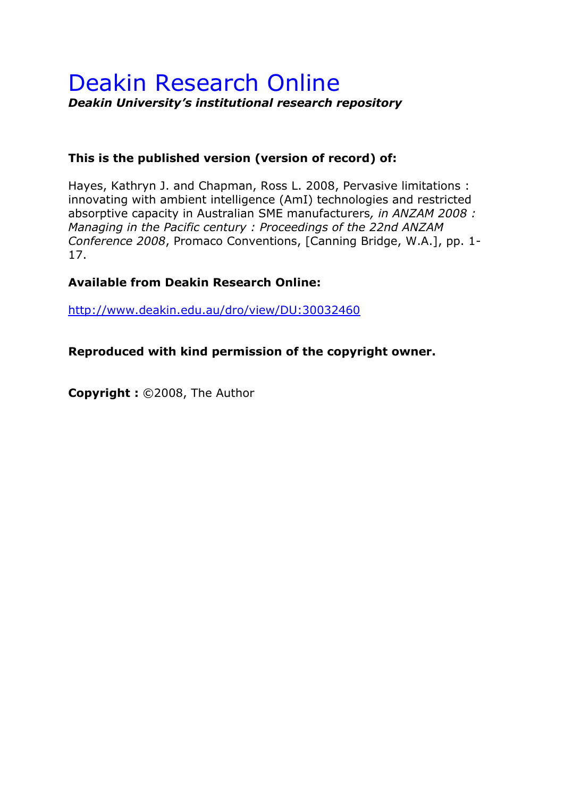# Deakin Research Online *Deakin University's institutional research repository*

# **This is the published version (version of record) of:**

Hayes, Kathryn J. and Chapman, Ross L. 2008, Pervasive limitations : innovating with ambient intelligence (AmI) technologies and restricted absorptive capacity in Australian SME manufacturers*, in ANZAM 2008 : Managing in the Pacific century : Proceedings of the 22nd ANZAM Conference 2008*, Promaco Conventions, [Canning Bridge, W.A.], pp. 1- 17.

# **Available from Deakin Research Online:**

<http://www.deakin.edu.au/dro/view/DU:30032460>

# **Reproduced with kind permission of the copyright owner.**

**Copyright :** ©2008, The Author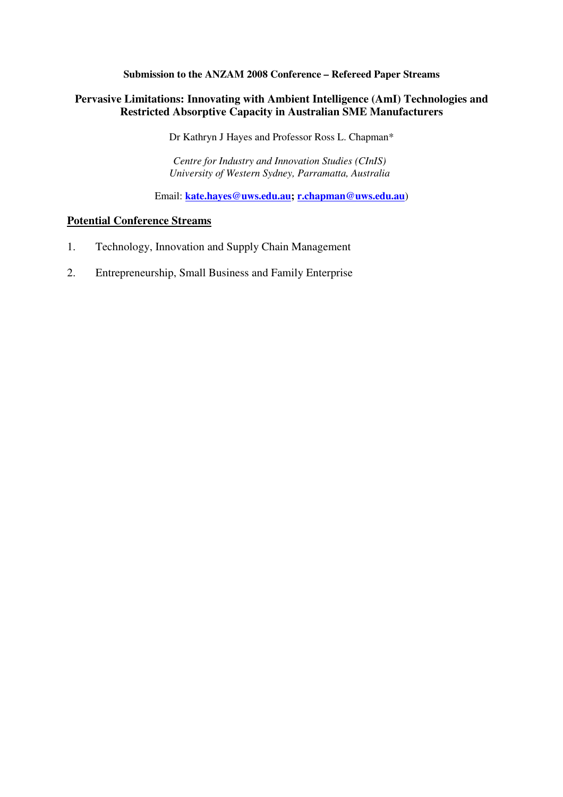### **Submission to the ANZAM 2008 Conference – Refereed Paper Streams**

# **Pervasive Limitations: Innovating with Ambient Intelligence (AmI) Technologies and Restricted Absorptive Capacity in Australian SME Manufacturers**

Dr Kathryn J Hayes and Professor Ross L. Chapman\*

*Centre for Industry and Innovation Studies (CInIS) University of Western Sydney, Parramatta, Australia* 

Email: **[kate.hayes@uws.edu.au;](mailto:kate.hayes@uws.edu.au) [r.chapman@uws.edu.au](mailto:r.chapman@uws.edu.au)**)

## **Potential Conference Streams**

- 1. Technology, Innovation and Supply Chain Management
- 2. Entrepreneurship, Small Business and Family Enterprise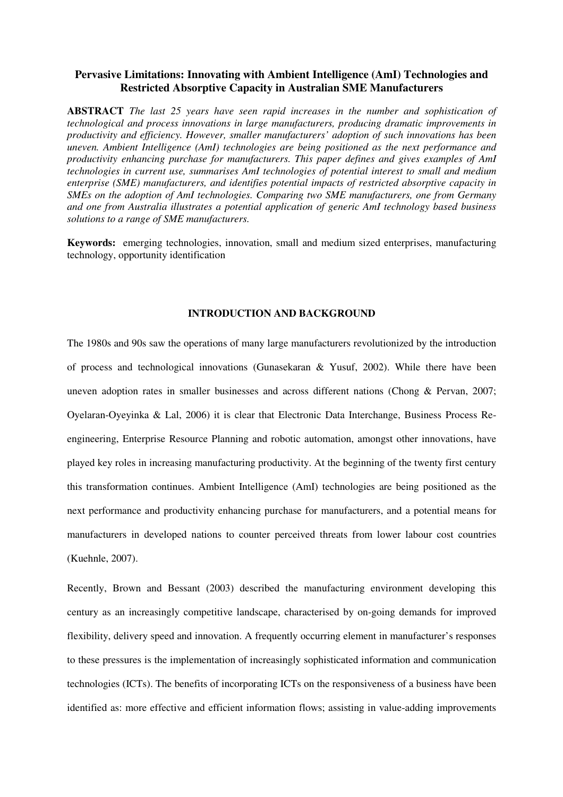### **Pervasive Limitations: Innovating with Ambient Intelligence (AmI) Technologies and Restricted Absorptive Capacity in Australian SME Manufacturers**

**ABSTRACT** *The last 25 years have seen rapid increases in the number and sophistication of technological and process innovations in large manufacturers, producing dramatic improvements in productivity and efficiency. However, smaller manufacturers' adoption of such innovations has been uneven. Ambient Intelligence (AmI) technologies are being positioned as the next performance and productivity enhancing purchase for manufacturers. This paper defines and gives examples of AmI technologies in current use, summarises AmI technologies of potential interest to small and medium enterprise (SME) manufacturers, and identifies potential impacts of restricted absorptive capacity in SMEs on the adoption of AmI technologies. Comparing two SME manufacturers, one from Germany and one from Australia illustrates a potential application of generic AmI technology based business solutions to a range of SME manufacturers.* 

**Keywords:** emerging technologies, innovation, small and medium sized enterprises, manufacturing technology, opportunity identification

#### **INTRODUCTION AND BACKGROUND**

The 1980s and 90s saw the operations of many large manufacturers revolutionized by the introduction of process and technological innovations (Gunasekaran & Yusuf, 2002). While there have been uneven adoption rates in smaller businesses and across different nations (Chong & Pervan, 2007; Oyelaran-Oyeyinka & Lal, 2006) it is clear that Electronic Data Interchange, Business Process Reengineering, Enterprise Resource Planning and robotic automation, amongst other innovations, have played key roles in increasing manufacturing productivity. At the beginning of the twenty first century this transformation continues. Ambient Intelligence (AmI) technologies are being positioned as the next performance and productivity enhancing purchase for manufacturers, and a potential means for manufacturers in developed nations to counter perceived threats from lower labour cost countries (Kuehnle, 2007).

Recently, Brown and Bessant (2003) described the manufacturing environment developing this century as an increasingly competitive landscape, characterised by on-going demands for improved flexibility, delivery speed and innovation. A frequently occurring element in manufacturer's responses to these pressures is the implementation of increasingly sophisticated information and communication technologies (ICTs). The benefits of incorporating ICTs on the responsiveness of a business have been identified as: more effective and efficient information flows; assisting in value-adding improvements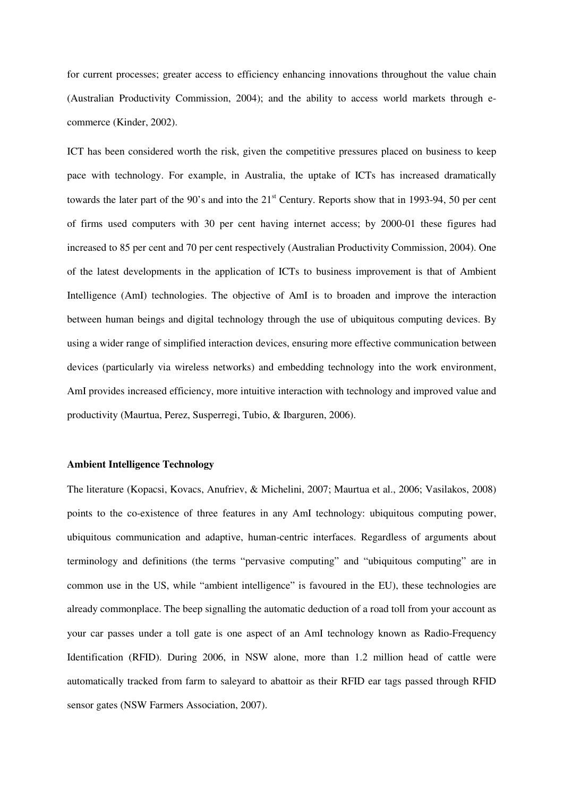for current processes; greater access to efficiency enhancing innovations throughout the value chain (Australian Productivity Commission, 2004); and the ability to access world markets through ecommerce (Kinder, 2002).

ICT has been considered worth the risk, given the competitive pressures placed on business to keep pace with technology. For example, in Australia, the uptake of ICTs has increased dramatically towards the later part of the 90's and into the 21<sup>st</sup> Century. Reports show that in 1993-94, 50 per cent of firms used computers with 30 per cent having internet access; by 2000-01 these figures had increased to 85 per cent and 70 per cent respectively (Australian Productivity Commission, 2004). One of the latest developments in the application of ICTs to business improvement is that of Ambient Intelligence (AmI) technologies. The objective of AmI is to broaden and improve the interaction between human beings and digital technology through the use of ubiquitous computing devices. By using a wider range of simplified interaction devices, ensuring more effective communication between devices (particularly via wireless networks) and embedding technology into the work environment, AmI provides increased efficiency, more intuitive interaction with technology and improved value and productivity (Maurtua, Perez, Susperregi, Tubio, & Ibarguren, 2006).

#### **Ambient Intelligence Technology**

The literature (Kopacsi, Kovacs, Anufriev, & Michelini, 2007; Maurtua et al., 2006; Vasilakos, 2008) points to the co-existence of three features in any AmI technology: ubiquitous computing power, ubiquitous communication and adaptive, human-centric interfaces. Regardless of arguments about terminology and definitions (the terms "pervasive computing" and "ubiquitous computing" are in common use in the US, while "ambient intelligence" is favoured in the EU), these technologies are already commonplace. The beep signalling the automatic deduction of a road toll from your account as your car passes under a toll gate is one aspect of an AmI technology known as Radio-Frequency Identification (RFID). During 2006, in NSW alone, more than 1.2 million head of cattle were automatically tracked from farm to saleyard to abattoir as their RFID ear tags passed through RFID sensor gates (NSW Farmers Association, 2007).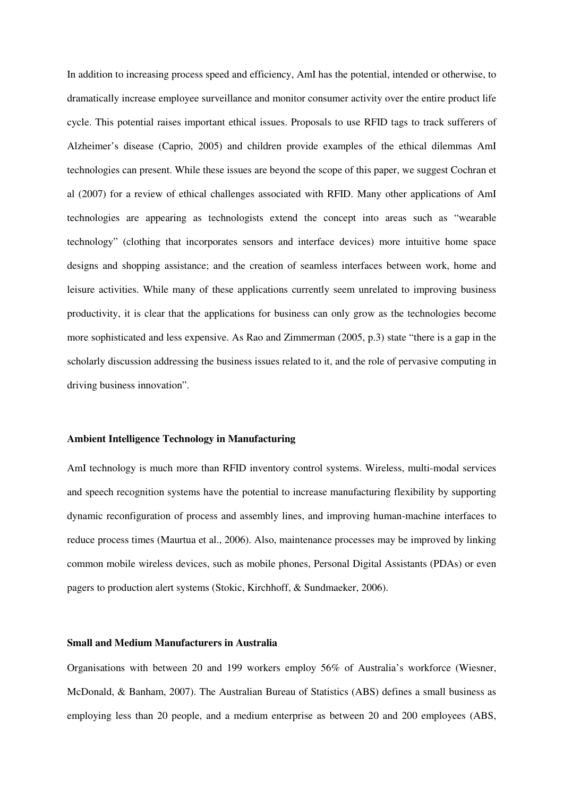In addition to increasing process speed and efficiency, AmI has the potential, intended or otherwise, to dramatically increase employee surveillance and monitor consumer activity over the entire product life cycle. This potential raises important ethical issues. Proposals to use RFID tags to track sufferers of Alzheimer's disease (Caprio, 2005) and children provide examples of the ethical dilemmas AmI technologies can present. While these issues are beyond the scope of this paper, we suggest Cochran et al (2007) for a review of ethical challenges associated with RFID. Many other applications of AmI technologies are appearing as technologists extend the concept into areas such as "wearable technology" (clothing that incorporates sensors and interface devices) more intuitive home space designs and shopping assistance; and the creation of seamless interfaces between work, home and leisure activities. While many of these applications currently seem unrelated to improving business productivity, it is clear that the applications for business can only grow as the technologies become more sophisticated and less expensive. As Rao and Zimmerman (2005, p.3) state "there is a gap in the scholarly discussion addressing the business issues related to it, and the role of pervasive computing in driving business innovation".

#### **Ambient Intelligence Technology in Manufacturing**

AmI technology is much more than RFID inventory control systems. Wireless, multi-modal services and speech recognition systems have the potential to increase manufacturing flexibility by supporting dynamic reconfiguration of process and assembly lines, and improving human-machine interfaces to reduce process times (Maurtua et al., 2006). Also, maintenance processes may be improved by linking common mobile wireless devices, such as mobile phones, Personal Digital Assistants (PDAs) or even pagers to production alert systems (Stokic, Kirchhoff, & Sundmaeker, 2006).

#### **Small and Medium Manufacturers in Australia**

Organisations with between 20 and 199 workers employ 56% of Australia's workforce (Wiesner, McDonald, & Banham, 2007). The Australian Bureau of Statistics (ABS) defines a small business as employing less than 20 people, and a medium enterprise as between 20 and 200 employees (ABS,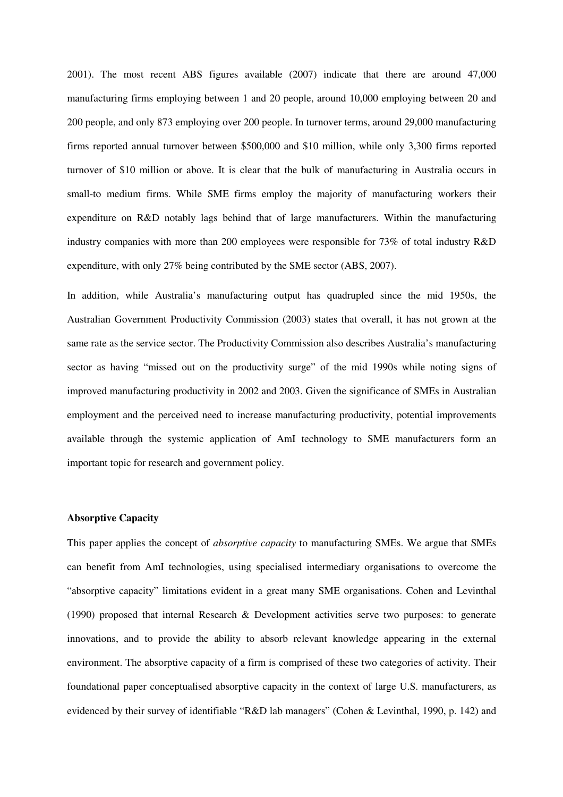2001). The most recent ABS figures available (2007) indicate that there are around 47,000 manufacturing firms employing between 1 and 20 people, around 10,000 employing between 20 and 200 people, and only 873 employing over 200 people. In turnover terms, around 29,000 manufacturing firms reported annual turnover between \$500,000 and \$10 million, while only 3,300 firms reported turnover of \$10 million or above. It is clear that the bulk of manufacturing in Australia occurs in small-to medium firms. While SME firms employ the majority of manufacturing workers their expenditure on R&D notably lags behind that of large manufacturers. Within the manufacturing industry companies with more than 200 employees were responsible for 73% of total industry R&D expenditure, with only 27% being contributed by the SME sector (ABS, 2007).

In addition, while Australia's manufacturing output has quadrupled since the mid 1950s, the Australian Government Productivity Commission (2003) states that overall, it has not grown at the same rate as the service sector. The Productivity Commission also describes Australia's manufacturing sector as having "missed out on the productivity surge" of the mid 1990s while noting signs of improved manufacturing productivity in 2002 and 2003. Given the significance of SMEs in Australian employment and the perceived need to increase manufacturing productivity, potential improvements available through the systemic application of AmI technology to SME manufacturers form an important topic for research and government policy.

#### **Absorptive Capacity**

This paper applies the concept of *absorptive capacity* to manufacturing SMEs. We argue that SMEs can benefit from AmI technologies, using specialised intermediary organisations to overcome the "absorptive capacity" limitations evident in a great many SME organisations. Cohen and Levinthal (1990) proposed that internal Research & Development activities serve two purposes: to generate innovations, and to provide the ability to absorb relevant knowledge appearing in the external environment. The absorptive capacity of a firm is comprised of these two categories of activity. Their foundational paper conceptualised absorptive capacity in the context of large U.S. manufacturers, as evidenced by their survey of identifiable "R&D lab managers" (Cohen & Levinthal, 1990, p. 142) and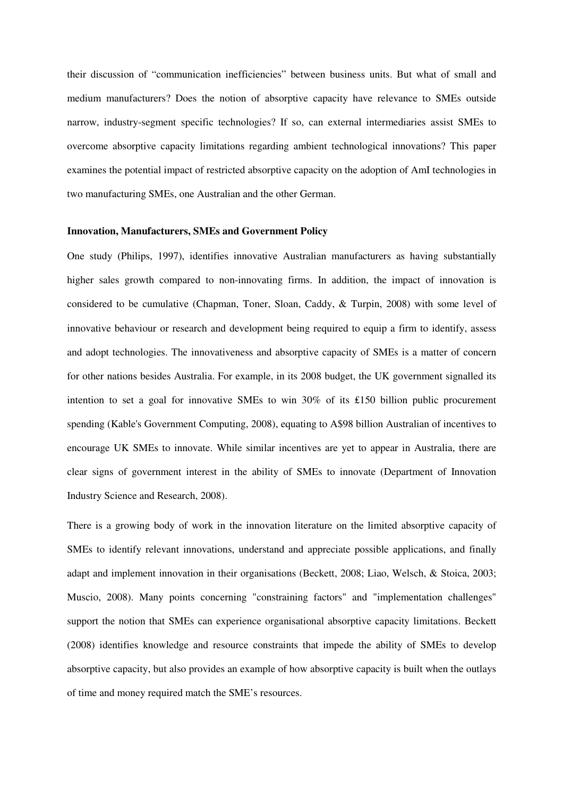their discussion of "communication inefficiencies" between business units. But what of small and medium manufacturers? Does the notion of absorptive capacity have relevance to SMEs outside narrow, industry-segment specific technologies? If so, can external intermediaries assist SMEs to overcome absorptive capacity limitations regarding ambient technological innovations? This paper examines the potential impact of restricted absorptive capacity on the adoption of AmI technologies in two manufacturing SMEs, one Australian and the other German.

#### **Innovation, Manufacturers, SMEs and Government Policy**

One study (Philips, 1997), identifies innovative Australian manufacturers as having substantially higher sales growth compared to non-innovating firms. In addition, the impact of innovation is considered to be cumulative (Chapman, Toner, Sloan, Caddy, & Turpin, 2008) with some level of innovative behaviour or research and development being required to equip a firm to identify, assess and adopt technologies. The innovativeness and absorptive capacity of SMEs is a matter of concern for other nations besides Australia. For example, in its 2008 budget, the UK government signalled its intention to set a goal for innovative SMEs to win 30% of its ₤150 billion public procurement spending (Kable's Government Computing, 2008), equating to A\$98 billion Australian of incentives to encourage UK SMEs to innovate. While similar incentives are yet to appear in Australia, there are clear signs of government interest in the ability of SMEs to innovate (Department of Innovation Industry Science and Research, 2008).

There is a growing body of work in the innovation literature on the limited absorptive capacity of SMEs to identify relevant innovations, understand and appreciate possible applications, and finally adapt and implement innovation in their organisations (Beckett, 2008; Liao, Welsch, & Stoica, 2003; Muscio, 2008). Many points concerning "constraining factors" and "implementation challenges" support the notion that SMEs can experience organisational absorptive capacity limitations. Beckett (2008) identifies knowledge and resource constraints that impede the ability of SMEs to develop absorptive capacity, but also provides an example of how absorptive capacity is built when the outlays of time and money required match the SME's resources.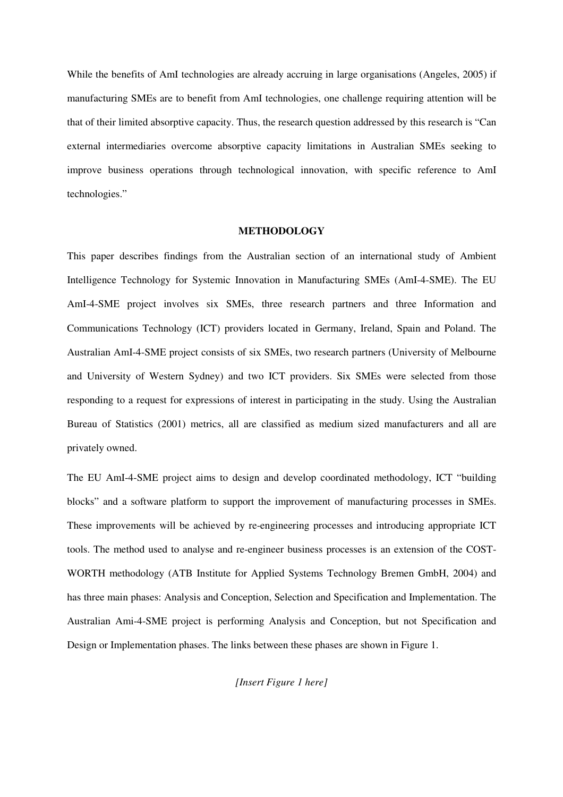While the benefits of AmI technologies are already accruing in large organisations (Angeles, 2005) if manufacturing SMEs are to benefit from AmI technologies, one challenge requiring attention will be that of their limited absorptive capacity. Thus, the research question addressed by this research is "Can external intermediaries overcome absorptive capacity limitations in Australian SMEs seeking to improve business operations through technological innovation, with specific reference to AmI technologies."

#### **METHODOLOGY**

This paper describes findings from the Australian section of an international study of Ambient Intelligence Technology for Systemic Innovation in Manufacturing SMEs (AmI-4-SME). The EU AmI-4-SME project involves six SMEs, three research partners and three Information and Communications Technology (ICT) providers located in Germany, Ireland, Spain and Poland. The Australian AmI-4-SME project consists of six SMEs, two research partners (University of Melbourne and University of Western Sydney) and two ICT providers. Six SMEs were selected from those responding to a request for expressions of interest in participating in the study. Using the Australian Bureau of Statistics (2001) metrics, all are classified as medium sized manufacturers and all are privately owned.

The EU AmI-4-SME project aims to design and develop coordinated methodology, ICT "building blocks" and a software platform to support the improvement of manufacturing processes in SMEs. These improvements will be achieved by re-engineering processes and introducing appropriate ICT tools. The method used to analyse and re-engineer business processes is an extension of the COST-WORTH methodology (ATB Institute for Applied Systems Technology Bremen GmbH, 2004) and has three main phases: Analysis and Conception, Selection and Specification and Implementation. The Australian Ami-4-SME project is performing Analysis and Conception, but not Specification and Design or Implementation phases. The links between these phases are shown in Figure 1.

*[Insert Figure 1 here]*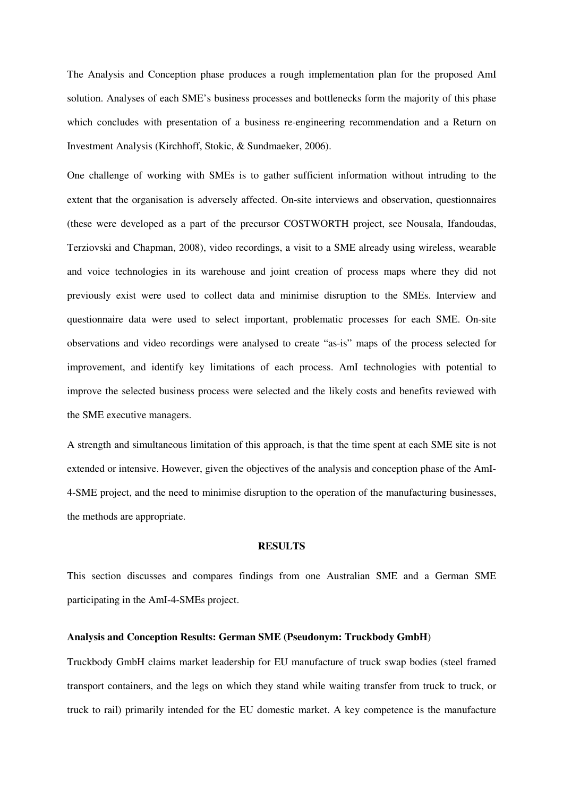The Analysis and Conception phase produces a rough implementation plan for the proposed AmI solution. Analyses of each SME's business processes and bottlenecks form the majority of this phase which concludes with presentation of a business re-engineering recommendation and a Return on Investment Analysis (Kirchhoff, Stokic, & Sundmaeker, 2006).

One challenge of working with SMEs is to gather sufficient information without intruding to the extent that the organisation is adversely affected. On-site interviews and observation, questionnaires (these were developed as a part of the precursor COSTWORTH project, see Nousala, Ifandoudas, Terziovski and Chapman, 2008), video recordings, a visit to a SME already using wireless, wearable and voice technologies in its warehouse and joint creation of process maps where they did not previously exist were used to collect data and minimise disruption to the SMEs. Interview and questionnaire data were used to select important, problematic processes for each SME. On-site observations and video recordings were analysed to create "as-is" maps of the process selected for improvement, and identify key limitations of each process. AmI technologies with potential to improve the selected business process were selected and the likely costs and benefits reviewed with the SME executive managers.

A strength and simultaneous limitation of this approach, is that the time spent at each SME site is not extended or intensive. However, given the objectives of the analysis and conception phase of the AmI-4-SME project, and the need to minimise disruption to the operation of the manufacturing businesses, the methods are appropriate.

#### **RESULTS**

This section discusses and compares findings from one Australian SME and a German SME participating in the AmI-4-SMEs project.

#### **Analysis and Conception Results: German SME (Pseudonym: Truckbody GmbH**)

Truckbody GmbH claims market leadership for EU manufacture of truck swap bodies (steel framed transport containers, and the legs on which they stand while waiting transfer from truck to truck, or truck to rail) primarily intended for the EU domestic market. A key competence is the manufacture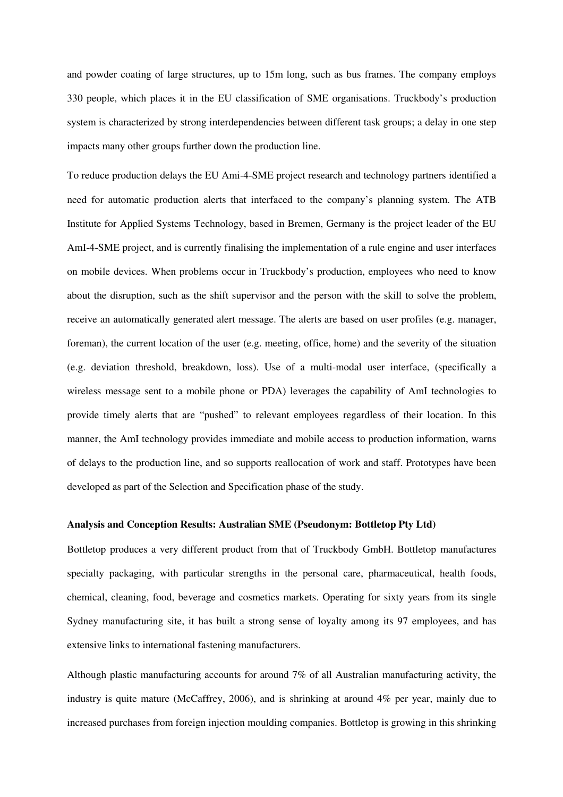and powder coating of large structures, up to 15m long, such as bus frames. The company employs 330 people, which places it in the EU classification of SME organisations. Truckbody's production system is characterized by strong interdependencies between different task groups; a delay in one step impacts many other groups further down the production line.

To reduce production delays the EU Ami-4-SME project research and technology partners identified a need for automatic production alerts that interfaced to the company's planning system. The ATB Institute for Applied Systems Technology, based in Bremen, Germany is the project leader of the EU AmI-4-SME project, and is currently finalising the implementation of a rule engine and user interfaces on mobile devices. When problems occur in Truckbody's production, employees who need to know about the disruption, such as the shift supervisor and the person with the skill to solve the problem, receive an automatically generated alert message. The alerts are based on user profiles (e.g. manager, foreman), the current location of the user (e.g. meeting, office, home) and the severity of the situation (e.g. deviation threshold, breakdown, loss). Use of a multi-modal user interface, (specifically a wireless message sent to a mobile phone or PDA) leverages the capability of AmI technologies to provide timely alerts that are "pushed" to relevant employees regardless of their location. In this manner, the AmI technology provides immediate and mobile access to production information, warns of delays to the production line, and so supports reallocation of work and staff. Prototypes have been developed as part of the Selection and Specification phase of the study.

#### **Analysis and Conception Results: Australian SME (Pseudonym: Bottletop Pty Ltd)**

Bottletop produces a very different product from that of Truckbody GmbH. Bottletop manufactures specialty packaging, with particular strengths in the personal care, pharmaceutical, health foods, chemical, cleaning, food, beverage and cosmetics markets. Operating for sixty years from its single Sydney manufacturing site, it has built a strong sense of loyalty among its 97 employees, and has extensive links to international fastening manufacturers.

Although plastic manufacturing accounts for around 7% of all Australian manufacturing activity, the industry is quite mature (McCaffrey, 2006), and is shrinking at around 4% per year, mainly due to increased purchases from foreign injection moulding companies. Bottletop is growing in this shrinking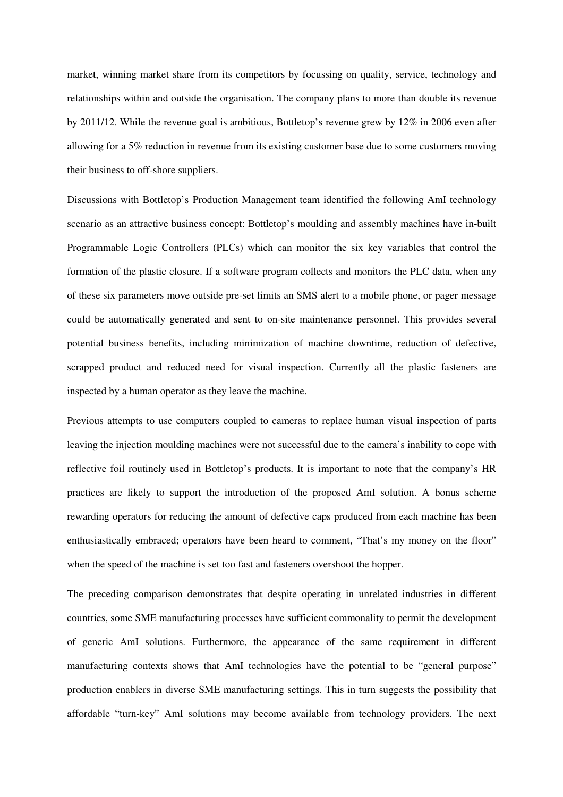market, winning market share from its competitors by focussing on quality, service, technology and relationships within and outside the organisation. The company plans to more than double its revenue by 2011/12. While the revenue goal is ambitious, Bottletop's revenue grew by 12% in 2006 even after allowing for a 5% reduction in revenue from its existing customer base due to some customers moving their business to off-shore suppliers.

Discussions with Bottletop's Production Management team identified the following AmI technology scenario as an attractive business concept: Bottletop's moulding and assembly machines have in-built Programmable Logic Controllers (PLCs) which can monitor the six key variables that control the formation of the plastic closure. If a software program collects and monitors the PLC data, when any of these six parameters move outside pre-set limits an SMS alert to a mobile phone, or pager message could be automatically generated and sent to on-site maintenance personnel. This provides several potential business benefits, including minimization of machine downtime, reduction of defective, scrapped product and reduced need for visual inspection. Currently all the plastic fasteners are inspected by a human operator as they leave the machine.

Previous attempts to use computers coupled to cameras to replace human visual inspection of parts leaving the injection moulding machines were not successful due to the camera's inability to cope with reflective foil routinely used in Bottletop's products. It is important to note that the company's HR practices are likely to support the introduction of the proposed AmI solution. A bonus scheme rewarding operators for reducing the amount of defective caps produced from each machine has been enthusiastically embraced; operators have been heard to comment, "That's my money on the floor" when the speed of the machine is set too fast and fasteners overshoot the hopper.

The preceding comparison demonstrates that despite operating in unrelated industries in different countries, some SME manufacturing processes have sufficient commonality to permit the development of generic AmI solutions. Furthermore, the appearance of the same requirement in different manufacturing contexts shows that AmI technologies have the potential to be "general purpose" production enablers in diverse SME manufacturing settings. This in turn suggests the possibility that affordable "turn-key" AmI solutions may become available from technology providers. The next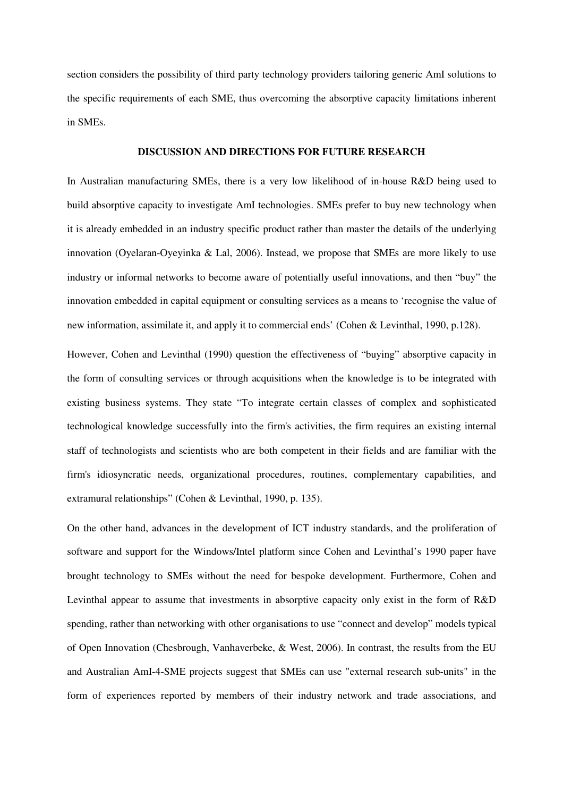section considers the possibility of third party technology providers tailoring generic AmI solutions to the specific requirements of each SME, thus overcoming the absorptive capacity limitations inherent in SMEs.

#### **DISCUSSION AND DIRECTIONS FOR FUTURE RESEARCH**

In Australian manufacturing SMEs, there is a very low likelihood of in-house R&D being used to build absorptive capacity to investigate AmI technologies. SMEs prefer to buy new technology when it is already embedded in an industry specific product rather than master the details of the underlying innovation (Oyelaran-Oyeyinka & Lal, 2006). Instead, we propose that SMEs are more likely to use industry or informal networks to become aware of potentially useful innovations, and then "buy" the innovation embedded in capital equipment or consulting services as a means to 'recognise the value of new information, assimilate it, and apply it to commercial ends' (Cohen & Levinthal, 1990, p.128).

However, Cohen and Levinthal (1990) question the effectiveness of "buying" absorptive capacity in the form of consulting services or through acquisitions when the knowledge is to be integrated with existing business systems. They state "To integrate certain classes of complex and sophisticated technological knowledge successfully into the firm's activities, the firm requires an existing internal staff of technologists and scientists who are both competent in their fields and are familiar with the firm's idiosyncratic needs, organizational procedures, routines, complementary capabilities, and extramural relationships" (Cohen & Levinthal, 1990, p. 135).

On the other hand, advances in the development of ICT industry standards, and the proliferation of software and support for the Windows/Intel platform since Cohen and Levinthal's 1990 paper have brought technology to SMEs without the need for bespoke development. Furthermore, Cohen and Levinthal appear to assume that investments in absorptive capacity only exist in the form of R&D spending, rather than networking with other organisations to use "connect and develop" models typical of Open Innovation (Chesbrough, Vanhaverbeke, & West, 2006). In contrast, the results from the EU and Australian AmI-4-SME projects suggest that SMEs can use "external research sub-units" in the form of experiences reported by members of their industry network and trade associations, and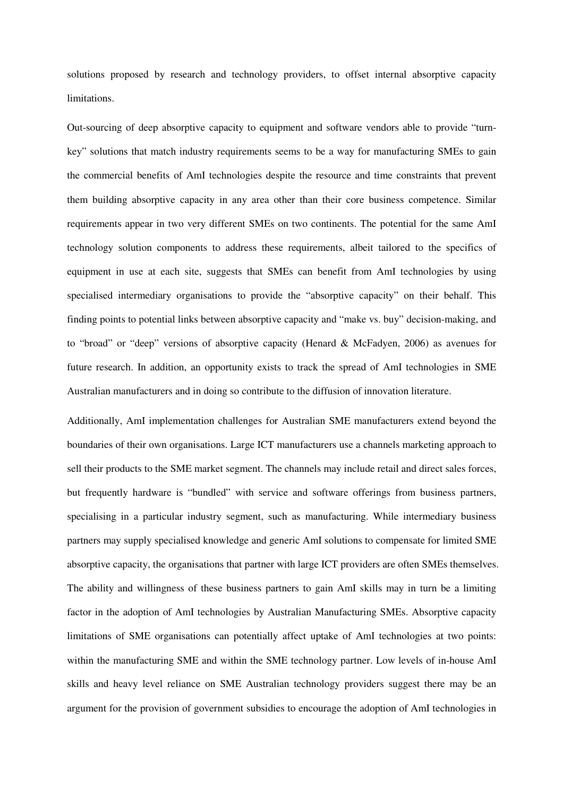solutions proposed by research and technology providers, to offset internal absorptive capacity limitations.

Out-sourcing of deep absorptive capacity to equipment and software vendors able to provide "turnkey" solutions that match industry requirements seems to be a way for manufacturing SMEs to gain the commercial benefits of AmI technologies despite the resource and time constraints that prevent them building absorptive capacity in any area other than their core business competence. Similar requirements appear in two very different SMEs on two continents. The potential for the same AmI technology solution components to address these requirements, albeit tailored to the specifics of equipment in use at each site, suggests that SMEs can benefit from AmI technologies by using specialised intermediary organisations to provide the "absorptive capacity" on their behalf. This finding points to potential links between absorptive capacity and "make vs. buy" decision-making, and to "broad" or "deep" versions of absorptive capacity (Henard & McFadyen, 2006) as avenues for future research. In addition, an opportunity exists to track the spread of AmI technologies in SME Australian manufacturers and in doing so contribute to the diffusion of innovation literature.

Additionally, AmI implementation challenges for Australian SME manufacturers extend beyond the boundaries of their own organisations. Large ICT manufacturers use a channels marketing approach to sell their products to the SME market segment. The channels may include retail and direct sales forces, but frequently hardware is "bundled" with service and software offerings from business partners, specialising in a particular industry segment, such as manufacturing. While intermediary business partners may supply specialised knowledge and generic AmI solutions to compensate for limited SME absorptive capacity, the organisations that partner with large ICT providers are often SMEs themselves. The ability and willingness of these business partners to gain AmI skills may in turn be a limiting factor in the adoption of AmI technologies by Australian Manufacturing SMEs. Absorptive capacity limitations of SME organisations can potentially affect uptake of AmI technologies at two points: within the manufacturing SME and within the SME technology partner. Low levels of in-house AmI skills and heavy level reliance on SME Australian technology providers suggest there may be an argument for the provision of government subsidies to encourage the adoption of AmI technologies in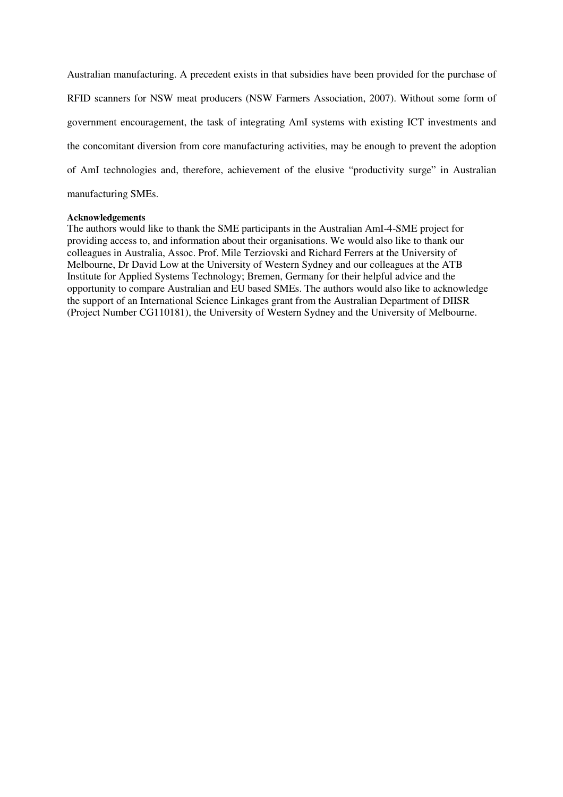Australian manufacturing. A precedent exists in that subsidies have been provided for the purchase of RFID scanners for NSW meat producers (NSW Farmers Association, 2007). Without some form of government encouragement, the task of integrating AmI systems with existing ICT investments and the concomitant diversion from core manufacturing activities, may be enough to prevent the adoption of AmI technologies and, therefore, achievement of the elusive "productivity surge" in Australian manufacturing SMEs.

#### **Acknowledgements**

The authors would like to thank the SME participants in the Australian AmI-4-SME project for providing access to, and information about their organisations. We would also like to thank our colleagues in Australia, Assoc. Prof. Mile Terziovski and Richard Ferrers at the University of Melbourne, Dr David Low at the University of Western Sydney and our colleagues at the ATB Institute for Applied Systems Technology; Bremen, Germany for their helpful advice and the opportunity to compare Australian and EU based SMEs. The authors would also like to acknowledge the support of an International Science Linkages grant from the Australian Department of DIISR (Project Number CG110181), the University of Western Sydney and the University of Melbourne.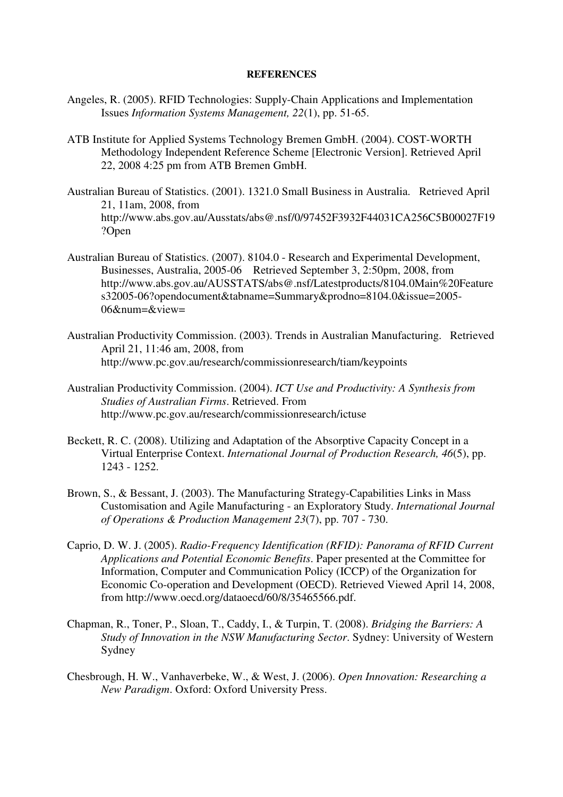#### **REFERENCES**

- Angeles, R. (2005). RFID Technologies: Supply-Chain Applications and Implementation Issues *Information Systems Management, 22*(1), pp. 51-65.
- ATB Institute for Applied Systems Technology Bremen GmbH. (2004). COST-WORTH Methodology Independent Reference Scheme [Electronic Version]. Retrieved April 22, 2008 4:25 pm from ATB Bremen GmbH.
- Australian Bureau of Statistics. (2001). 1321.0 Small Business in Australia. Retrieved April 21, 11am, 2008, from http://www.abs.gov.au/Ausstats/abs@.nsf/0/97452F3932F44031CA256C5B00027F19 ?Open
- Australian Bureau of Statistics. (2007). 8104.0 Research and Experimental Development, Businesses, Australia, 2005-06 Retrieved September 3, 2:50pm, 2008, from http://www.abs.gov.au/AUSSTATS/abs@.nsf/Latestproducts/8104.0Main%20Feature s32005-06?opendocument&tabname=Summary&prodno=8104.0&issue=2005-  $06$ &num=&view=
- Australian Productivity Commission. (2003). Trends in Australian Manufacturing. Retrieved April 21, 11:46 am, 2008, from http://www.pc.gov.au/research/commissionresearch/tiam/keypoints
- Australian Productivity Commission. (2004). *ICT Use and Productivity: A Synthesis from Studies of Australian Firms*. Retrieved. From http://www.pc.gov.au/research/commissionresearch/ictuse
- Beckett, R. C. (2008). Utilizing and Adaptation of the Absorptive Capacity Concept in a Virtual Enterprise Context. *International Journal of Production Research, 46*(5), pp. 1243 - 1252.
- Brown, S., & Bessant, J. (2003). The Manufacturing Strategy-Capabilities Links in Mass Customisation and Agile Manufacturing - an Exploratory Study. *International Journal of Operations & Production Management 23*(7), pp. 707 - 730.
- Caprio, D. W. J. (2005). *Radio-Frequency Identification (RFID): Panorama of RFID Current Applications and Potential Economic Benefits*. Paper presented at the Committee for Information, Computer and Communication Policy (ICCP) of the Organization for Economic Co-operation and Development (OECD). Retrieved Viewed April 14, 2008, from http://www.oecd.org/dataoecd/60/8/35465566.pdf.
- Chapman, R., Toner, P., Sloan, T., Caddy, I., & Turpin, T. (2008). *Bridging the Barriers: A Study of Innovation in the NSW Manufacturing Sector*. Sydney: University of Western Sydney
- Chesbrough, H. W., Vanhaverbeke, W., & West, J. (2006). *Open Innovation: Researching a New Paradigm*. Oxford: Oxford University Press.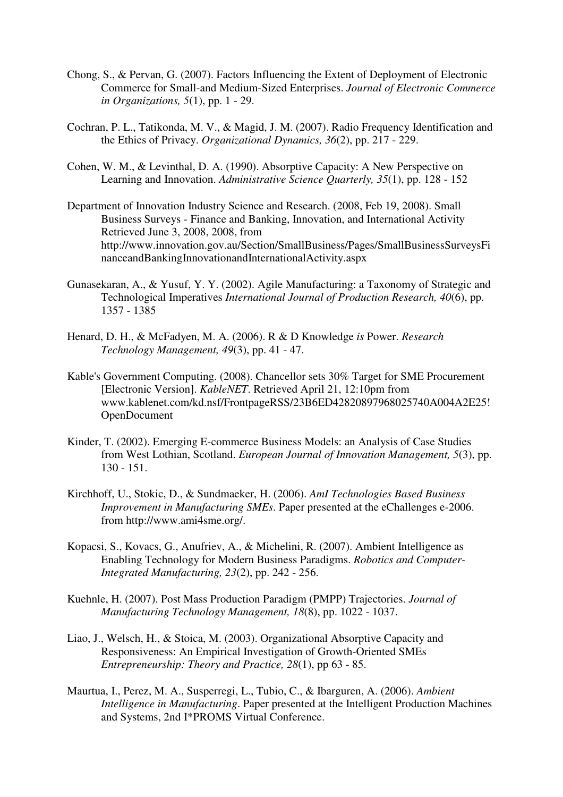- Chong, S., & Pervan, G. (2007). Factors Influencing the Extent of Deployment of Electronic Commerce for Small-and Medium-Sized Enterprises. *Journal of Electronic Commerce in Organizations, 5*(1), pp. 1 - 29.
- Cochran, P. L., Tatikonda, M. V., & Magid, J. M. (2007). Radio Frequency Identification and the Ethics of Privacy. *Organizational Dynamics, 36*(2), pp. 217 - 229.
- Cohen, W. M., & Levinthal, D. A. (1990). Absorptive Capacity: A New Perspective on Learning and Innovation. *Administrative Science Quarterly, 35*(1), pp. 128 - 152
- Department of Innovation Industry Science and Research. (2008, Feb 19, 2008). Small Business Surveys - Finance and Banking, Innovation, and International Activity Retrieved June 3, 2008, 2008, from http://www.innovation.gov.au/Section/SmallBusiness/Pages/SmallBusinessSurveysFi nanceandBankingInnovationandInternationalActivity.aspx
- Gunasekaran, A., & Yusuf, Y. Y. (2002). Agile Manufacturing: a Taxonomy of Strategic and Technological Imperatives *International Journal of Production Research, 40*(6), pp. 1357 - 1385
- Henard, D. H., & McFadyen, M. A. (2006). R & D Knowledge *is* Power. *Research Technology Management, 49*(3), pp. 41 - 47.
- Kable's Government Computing. (2008). Chancellor sets 30% Target for SME Procurement [Electronic Version]. *KableNET*. Retrieved April 21, 12:10pm from www.kablenet.com/kd.nsf/FrontpageRSS/23B6ED42820897968025740A004A2E25! OpenDocument
- Kinder, T. (2002). Emerging E-commerce Business Models: an Analysis of Case Studies from West Lothian, Scotland. *European Journal of Innovation Management, 5*(3), pp. 130 - 151.
- Kirchhoff, U., Stokic, D., & Sundmaeker, H. (2006). *AmI Technologies Based Business Improvement in Manufacturing SMEs*. Paper presented at the eChallenges e-2006. from http://www.ami4sme.org/.
- Kopacsi, S., Kovacs, G., Anufriev, A., & Michelini, R. (2007). Ambient Intelligence as Enabling Technology for Modern Business Paradigms. *Robotics and Computer-Integrated Manufacturing, 23*(2), pp. 242 - 256.
- Kuehnle, H. (2007). Post Mass Production Paradigm (PMPP) Trajectories. *Journal of Manufacturing Technology Management, 18*(8), pp. 1022 - 1037.
- Liao, J., Welsch, H., & Stoica, M. (2003). Organizational Absorptive Capacity and Responsiveness: An Empirical Investigation of Growth-Oriented SMEs *Entrepreneurship: Theory and Practice, 28*(1), pp 63 - 85.
- Maurtua, I., Perez, M. A., Susperregi, L., Tubio, C., & Ibarguren, A. (2006). *Ambient Intelligence in Manufacturing*. Paper presented at the Intelligent Production Machines and Systems, 2nd I\*PROMS Virtual Conference.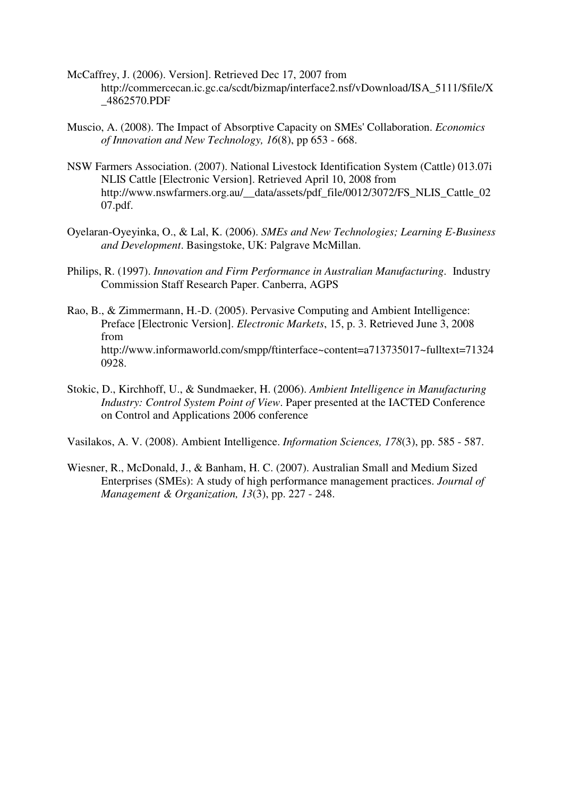- McCaffrey, J. (2006). Version]. Retrieved Dec 17, 2007 from http://commercecan.ic.gc.ca/scdt/bizmap/interface2.nsf/vDownload/ISA\_5111/\$file/X \_4862570.PDF
- Muscio, A. (2008). The Impact of Absorptive Capacity on SMEs' Collaboration. *Economics of Innovation and New Technology, 16*(8), pp 653 - 668.
- NSW Farmers Association. (2007). National Livestock Identification System (Cattle) 013.07i NLIS Cattle [Electronic Version]. Retrieved April 10, 2008 from http://www.nswfarmers.org.au/\_\_data/assets/pdf\_file/0012/3072/FS\_NLIS\_Cattle\_02 07.pdf.
- Oyelaran-Oyeyinka, O., & Lal, K. (2006). *SMEs and New Technologies; Learning E-Business and Development*. Basingstoke, UK: Palgrave McMillan.
- Philips, R. (1997). *Innovation and Firm Performance in Australian Manufacturing*. Industry Commission Staff Research Paper. Canberra, AGPS
- Rao, B., & Zimmermann, H.-D. (2005). Pervasive Computing and Ambient Intelligence: Preface [Electronic Version]. *Electronic Markets*, 15, p. 3. Retrieved June 3, 2008 from http://www.informaworld.com/smpp/ftinterface~content=a713735017~fulltext=71324 0928.
- Stokic, D., Kirchhoff, U., & Sundmaeker, H. (2006). *Ambient Intelligence in Manufacturing Industry: Control System Point of View*. Paper presented at the IACTED Conference on Control and Applications 2006 conference

Vasilakos, A. V. (2008). Ambient Intelligence. *Information Sciences, 178*(3), pp. 585 - 587.

Wiesner, R., McDonald, J., & Banham, H. C. (2007). Australian Small and Medium Sized Enterprises (SMEs): A study of high performance management practices. *Journal of Management & Organization, 13*(3), pp. 227 - 248.